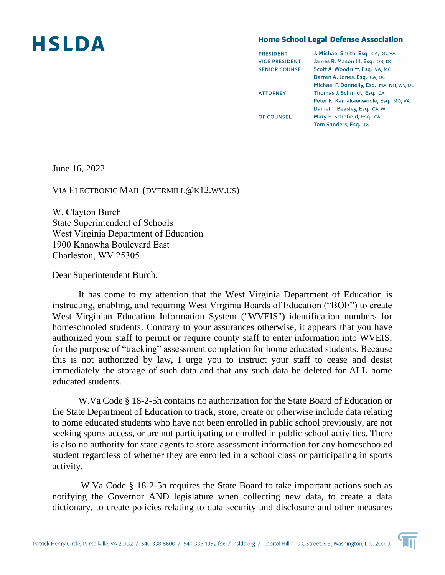## **HSLDA**

## **Home School Legal Defense Association**

| <b>PRESIDENT</b>      | J. Michael Smith, Esq. CA, DC, VA        |
|-----------------------|------------------------------------------|
| <b>VICE PRESIDENT</b> | James R. Mason III, Esq. OR, DC          |
| <b>SENIOR COUNSEL</b> | Scott A. Woodruff, Esq. VA, MO           |
|                       | Darren A. Jones, Esg. CA, DC             |
|                       | Michael P. Donnelly, Esq. MA, NH, WV, DO |
| <b>ATTORNEY</b>       | Thomas J. Schmidt, Esq. CA               |
|                       | Peter K. Kamakawiwoole, Esq. MO, VA      |
|                       | Daniel T. Beasley, Esq. CA, WI           |
| <b>OF COUNSEL</b>     | Mary E. Schofield, Esq. CA               |
|                       | Tom Sanders, Esq. TX                     |
|                       |                                          |

June 16, 2022

VIA ELECTRONIC MAIL (DVERMILL@K12.WV.US)

W. Clayton Burch  State Superintendent of Schools  West Virginia Department of Education  1900 Kanawha Boulevard East  Charleston, WV 25305 

Dear Superintendent Burch,

It has come to my attention that the West Virginia Department of Education is instructing, enabling, and requiring West Virginia Boards of Education ("BOE") to create West Virginian Education Information System ("WVEIS") identification numbers for homeschooled students. Contrary to your assurances otherwise, it appears that you have authorized your staff to permit or require county staff to enter information into WVEIS, for the purpose of "tracking" assessment completion for home educated students. Because this is not authorized by law, I urge you to instruct your staff to cease and desist immediately the storage of such data and that any such data be deleted for ALL home educated students.

W.Va Code § 18-2-5h contains no authorization for the State Board of Education or the State Department of Education to track, store, create or otherwise include data relating to home educated students who have not been enrolled in public school previously, are not seeking sports access, or are not participating or enrolled in public school activities. There is also no authority for state agents to store assessment information for any homeschooled student regardless of whether they are enrolled in a school class or participating in sports activity.

W.Va Code § 18-2-5h requires the State Board to take important actions such as notifying the Governor AND legislature when collecting new data, to create a data dictionary, to create policies relating to data security and disclosure and other measures

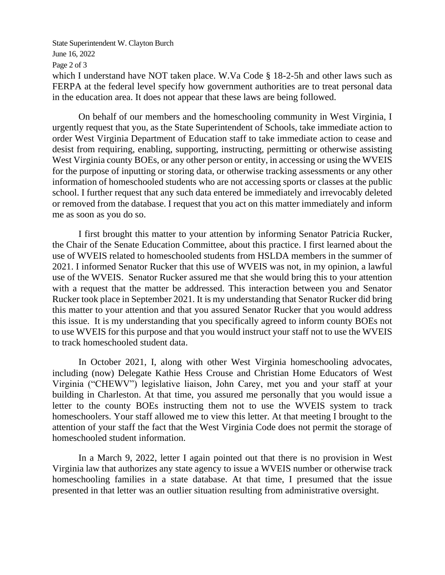State Superintendent W. Clayton Burch June 16, 2022 Page 2 of 3 which I understand have NOT taken place. W.Va Code § 18-2-5h and other laws such as FERPA at the federal level specify how government authorities are to treat personal data in the education area. It does not appear that these laws are being followed.

On behalf of our members and the homeschooling community in West Virginia, I urgently request that you, as the State Superintendent of Schools, take immediate action to order West Virginia Department of Education staff to take immediate action to cease and desist from requiring, enabling, supporting, instructing, permitting or otherwise assisting West Virginia county BOEs, or any other person or entity, in accessing or using the WVEIS for the purpose of inputting or storing data, or otherwise tracking assessments or any other information of homeschooled students who are not accessing sports or classes at the public school. I further request that any such data entered be immediately and irrevocably deleted or removed from the database. I request that you act on this matter immediately and inform me as soon as you do so.

I first brought this matter to your attention by informing Senator Patricia Rucker, the Chair of the Senate Education Committee, about this practice. I first learned about the use of WVEIS related to homeschooled students from HSLDA members in the summer of 2021. I informed Senator Rucker that this use of WVEIS was not, in my opinion, a lawful use of the WVEIS. Senator Rucker assured me that she would bring this to your attention with a request that the matter be addressed. This interaction between you and Senator Rucker took place in September 2021. It is my understanding that Senator Rucker did bring this matter to your attention and that you assured Senator Rucker that you would address this issue. It is my understanding that you specifically agreed to inform county BOEs not to use WVEIS for this purpose and that you would instruct your staff not to use the WVEIS to track homeschooled student data.

In October 2021, I, along with other West Virginia homeschooling advocates, including (now) Delegate Kathie Hess Crouse and Christian Home Educators of West Virginia ("CHEWV") legislative liaison, John Carey, met you and your staff at your building in Charleston. At that time, you assured me personally that you would issue a letter to the county BOEs instructing them not to use the WVEIS system to track homeschoolers. Your staff allowed me to view this letter. At that meeting I brought to the attention of your staff the fact that the West Virginia Code does not permit the storage of homeschooled student information.

In a March 9, 2022, letter I again pointed out that there is no provision in West Virginia law that authorizes any state agency to issue a WVEIS number or otherwise track homeschooling families in a state database. At that time, I presumed that the issue presented in that letter was an outlier situation resulting from administrative oversight.